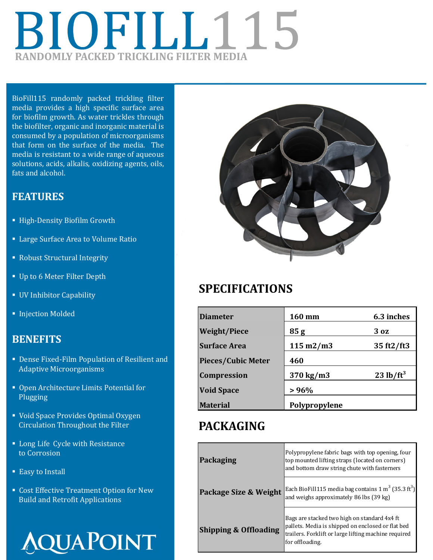# BIOFILL11! **RANDOMLY PACKED TRICKLING FILTER MEDIA**

BioFill115 randomly packed trickling filter media provides a high specific surface area for biofilm growth. As water trickles through the biofilter, organic and inorganic material is consumed by a population of microorganisms that form on the surface of the media. The media is resistant to a wide range of aqueous solutions, acids, alkalis, oxidizing agents, oils, fats and alcohol.

#### **FEATURES**

- **High-Density Biofilm Growth**
- **Example 3 Large Surface Area to Volume Ratio**
- Robust Structural Integrity
- **Up to 6 Meter Filter Depth**
- UV Inhibitor Capability
- **Injection Molded**

#### **BENEFITS**

- Dense Fixed-Film Population of Resilient and Adaptive Microorganisms
- Open Architecture Limits Potential for Plugging
- Void Space Provides Optimal Oxygen Circulation Throughout the Filter
- **Long Life Cycle with Resistance** to Corrosion
- Easy to Install
- **Cost Effective Treatment Option for New** Build and Retrofit Applications





## **SPECIFICATIONS**

| <b>Diameter</b>           | <b>160 mm</b>                | 6.3 inches            |
|---------------------------|------------------------------|-----------------------|
| <b>Weight/Piece</b>       | 85g                          | 3 <sub>oz</sub>       |
| <b>Surface Area</b>       | $115 \text{ m}^2/\text{m}^3$ | 35 ft2/ft3            |
| <b>Pieces/Cubic Meter</b> | 460                          |                       |
| Compression               | 370 kg/m3                    | 23 lb/ft <sup>3</sup> |
| <b>Void Space</b>         | >96%                         |                       |
| <b>Material</b>           | Polypropylene                |                       |

#### **PACKAGING**

| Packaging                        | Polypropylene fabric bags with top opening, four<br>top mounted lifting straps (located on corners)<br>and bottom draw string chute with fasterners                          |  |
|----------------------------------|------------------------------------------------------------------------------------------------------------------------------------------------------------------------------|--|
| Package Size & Weight            | Each BioFill115 media bag contains 1 m <sup>3</sup> (35.3 ft <sup>3</sup> )<br>and weighs approximately 86 lbs (39 kg)                                                       |  |
| <b>Shipping &amp; Offloading</b> | Bags are stacked two high on standard 4x4 ft<br>pallets. Media is shipped on enclosed or flat bed<br>trailers. Forklift or large lifting machine required<br>for offloading. |  |